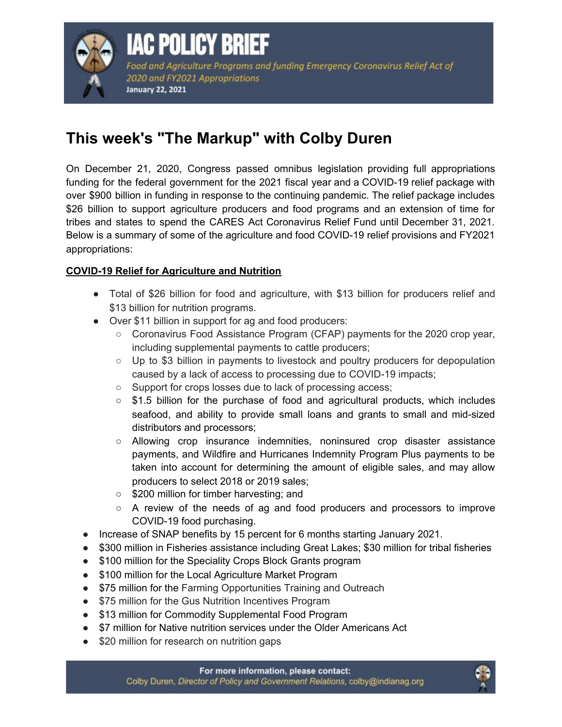

Food and Agriculture Programs and funding Emergency Coronavirus Relief Act of 2020 and FY2021 Appropriations **January 22, 2021** 

# **This week's "The Markup" with Colby Duren**

**IAC POLICY BRIEF** 

On December 21, 2020, Congress passed omnibus legislation providing full appropriations funding for the federal government for the 2021 fiscal year and a COVID-19 relief package with over \$900 billion in funding in response to the continuing pandemic. The relief package includes \$26 billion to support agriculture producers and food programs and an extension of time for tribes and states to spend the CARES Act Coronavirus Relief Fund until December 31, 2021. Below is a summary of some of the agriculture and food COVID-19 relief provisions and FY2021 appropriations:

## **COVID-19 Relief for Agriculture and Nutrition**

- Total of \$26 billion for food and agriculture, with \$13 billion for producers relief and \$13 billion for nutrition programs.
- Over \$11 billion in support for ag and food producers:
	- Coronavirus Food Assistance Program (CFAP) payments for the 2020 crop year, including supplemental payments to cattle producers;
	- Up to \$3 billion in payments to livestock and poultry producers for depopulation caused by a lack of access to processing due to COVID-19 impacts;
	- Support for crops losses due to lack of processing access;
	- $\circ$  \$1.5 billion for the purchase of food and agricultural products, which includes seafood, and ability to provide small loans and grants to small and mid-sized distributors and processors;
	- Allowing crop insurance indemnities, noninsured crop disaster assistance payments, and Wildfire and Hurricanes Indemnity Program Plus payments to be taken into account for determining the amount of eligible sales, and may allow producers to select 2018 or 2019 sales;
	- \$200 million for timber harvesting; and
	- A review of the needs of ag and food producers and processors to improve COVID-19 food purchasing.
- Increase of SNAP benefits by 15 percent for 6 months starting January 2021.
- \$300 million in Fisheries assistance including Great Lakes; \$30 million for tribal fisheries
- \$100 million for the Speciality Crops Block Grants program
- \$100 million for the Local Agriculture Market Program
- \$75 million for the Farming Opportunities Training and Outreach
- \$75 million for the Gus Nutrition Incentives Program
- \$13 million for Commodity Supplemental Food Program
- \$7 million for Native nutrition services under the Older Americans Act
- \$20 million for research on nutrition gaps

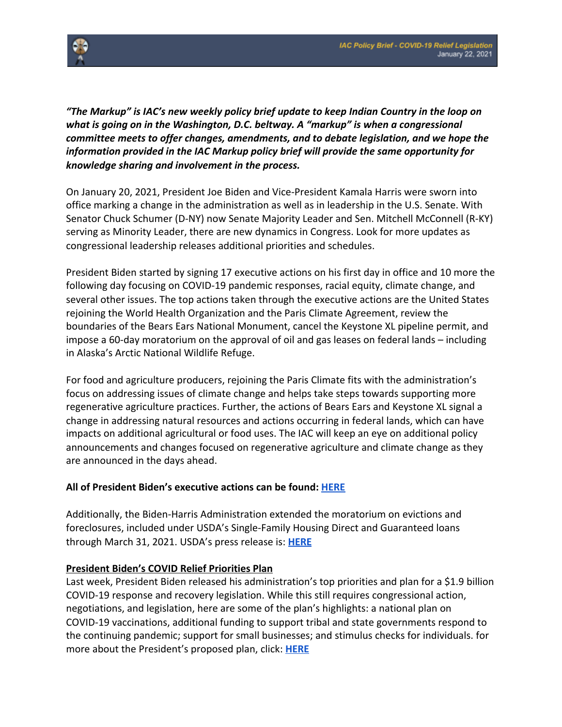

*"The Markup" is IAC's new weekly policy brief update to keep Indian Country in the loop on what is going on in the Washington, D.C. beltway. A "markup" is when a congressional committee meets to offer changes, amendments, and to debate legislation, and we hope the information provided in the IAC Markup policy brief will provide the same opportunity for knowledge sharing and involvement in the process.*

On January 20, 2021, President Joe Biden and Vice-President Kamala Harris were sworn into office marking a change in the administration as well as in leadership in the U.S. Senate. With Senator Chuck Schumer (D-NY) now Senate Majority Leader and Sen. Mitchell McConnell (R-KY) serving as Minority Leader, there are new dynamics in Congress. Look for more updates as congressional leadership releases additional priorities and schedules.

President Biden started by signing 17 executive actions on his first day in office and 10 more the following day focusing on COVID-19 pandemic responses, racial equity, climate change, and several other issues. The top actions taken through the executive actions are the United States rejoining the World Health Organization and the Paris Climate Agreement, review the boundaries of the Bears Ears National Monument, cancel the Keystone XL pipeline permit, and impose a 60-day moratorium on the approval of oil and gas leases on federal lands – including in Alaska's Arctic National Wildlife Refuge.

For food and agriculture producers, rejoining the Paris Climate fits with the administration's focus on addressing issues of climate change and helps take steps towards supporting more regenerative agriculture practices. Further, the actions of Bears Ears and Keystone XL signal a change in addressing natural resources and actions occurring in federal lands, which can have impacts on additional agricultural or food uses. The IAC will keep an eye on additional policy announcements and changes focused on regenerative agriculture and climate change as they are announced in the days ahead.

#### **All of President Biden's executive actions can be found[:](https://www.whitehouse.gov/briefing-room/presidential-actions/%C2%A0) [HERE](https://www.whitehouse.gov/briefing-room/presidential-actions/%C2%A0)**

Additionally, the Biden-Harris Administration extended the moratorium on evictions and foreclosures, included under USDA's Single-Family Housing Direct and Guaranteed loans through March 31, 2021. USDA's press release is: **[HERE](https://www.usda.gov/media/press-releases/2021/01/20/biden-administration-announces-foreclosure-moratorium-and-mortgage)**

#### **President Biden's COVID Relief Priorities Plan**

Last week, President Biden released his administration's top priorities and plan for a \$1.9 billion COVID-19 response and recovery legislation. While this still requires congressional action, negotiations, and legislation, here are some of the plan's highlights: a national plan on COVID-19 vaccinations, additional funding to support tribal and state governments respond to the continuing pandemic; support for small businesses; and stimulus checks for individuals. for more about the President's proposed plan, click[:](https://buildbackbetter.gov/wp-content/uploads/2021/01/COVID_Relief-Package-Fact-Sheet.pdf%C2%A0) **[HERE](https://buildbackbetter.gov/wp-content/uploads/2021/01/COVID_Relief-Package-Fact-Sheet.pdf%C2%A0)**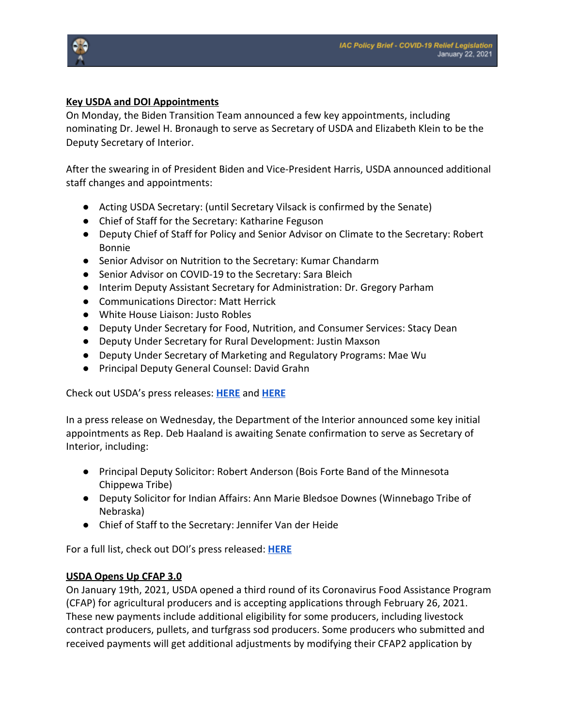

#### **Key USDA and DOI Appointments**

On Monday, the Biden Transition Team announced a few key appointments, including nominating Dr. Jewel H. Bronaugh to serve as Secretary of USDA and Elizabeth Klein to be the Deputy Secretary of Interior.

After the swearing in of President Biden and Vice-President Harris, USDA announced additional staff changes and appointments:

- Acting USDA Secretary: (until Secretary Vilsack is confirmed by the Senate)
- Chief of Staff for the Secretary: Katharine Feguson
- Deputy Chief of Staff for Policy and Senior Advisor on Climate to the Secretary: Robert Bonnie
- Senior Advisor on Nutrition to the Secretary: Kumar Chandarm
- Senior Advisor on COVID-19 to the Secretary: Sara Bleich
- Interim Deputy Assistant Secretary for Administration: Dr. Gregory Parham
- Communications Director: Matt Herrick
- White House Liaison: Justo Robles
- Deputy Under Secretary for Food, Nutrition, and Consumer Services: Stacy Dean
- Deputy Under Secretary for Rural Development: Justin Maxson
- Deputy Under Secretary of Marketing and Regulatory Programs: Mae Wu
- Principal Deputy General Counsel: David Grahn

#### Check out USDA's press releases: **[HERE](https://www.usda.gov/media/press-releases/2021/01/20/us-department-agriculture-announces-key-staff-appointments)** and **[HERE](https://www.usda.gov/media/press-releases/2021/01/21/us-department-agriculture-announces-three-deputy-under-secretaries)**

In a press release on Wednesday, the Department of the Interior announced some key initial appointments as Rep. Deb Haaland is awaiting Senate confirmation to serve as Secretary of Interior, including:

- Principal Deputy Solicitor: Robert Anderson (Bois Forte Band of the Minnesota Chippewa Tribe)
- Deputy Solicitor for Indian Affairs: Ann Marie Bledsoe Downes (Winnebago Tribe of Nebraska)
- Chief of Staff to the Secretary: Jennifer Van der Heide

For a full list, check out DOI's press released: **[HERE](https://www.doi.gov/pressreleases/interior-department-announces-members-biden-harris-leadership-team)**

#### **USDA Opens Up CFAP 3.0**

On January 19th, 2021, USDA opened a third round of its Coronavirus Food Assistance Program (CFAP) for agricultural producers and is accepting applications through February 26, 2021. These new payments include additional eligibility for some producers, including livestock contract producers, pullets, and turfgrass sod producers. Some producers who submitted and received payments will get additional adjustments by modifying their CFAP2 application by